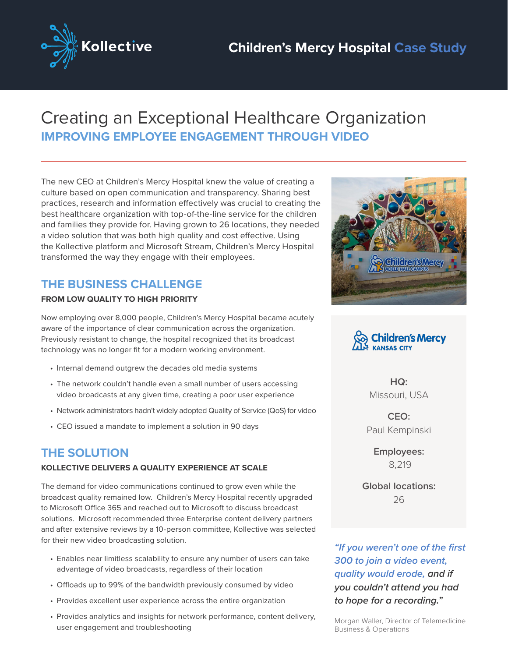

# Creating an Exceptional Healthcare Organization **IMPROVING EMPLOYEE ENGAGEMENT THROUGH VIDEO**

The new CEO at Children's Mercy Hospital knew the value of creating a culture based on open communication and transparency. Sharing best practices, research and information effectively was crucial to creating the best healthcare organization with top-of-the-line service for the children and families they provide for. Having grown to 26 locations, they needed a video solution that was both high quality and cost effective. Using the Kollective platform and Microsoft Stream, Children's Mercy Hospital transformed the way they engage with their employees.

## **THE BUSINESS CHALLENGE**

### **FROM LOW QUALITY TO HIGH PRIORITY**

Now employing over 8,000 people, Children's Mercy Hospital became acutely aware of the importance of clear communication across the organization. Previously resistant to change, the hospital recognized that its broadcast technology was no longer fit for a modern working environment.

- Internal demand outgrew the decades old media systems
- The network couldn't handle even a small number of users accessing video broadcasts at any given time, creating a poor user experience
- Network administrators hadn't widely adopted Quality of Service (QoS) for video
- CEO issued a mandate to implement a solution in 90 days

## **THE SOLUTION**

#### **KOLLECTIVE DELIVERS A QUALITY EXPERIENCE AT SCALE**

The demand for video communications continued to grow even while the broadcast quality remained low. Children's Mercy Hospital recently upgraded to Microsoft Office 365 and reached out to Microsoft to discuss broadcast solutions. Microsoft recommended three Enterprise content delivery partners and after extensive reviews by a 10-person committee, Kollective was selected for their new video broadcasting solution.

- Enables near limitless scalability to ensure any number of users can take advantage of video broadcasts, regardless of their location
- Offloads up to 99% of the bandwidth previously consumed by video
- Provides excellent user experience across the entire organization
- Provides analytics and insights for network performance, content delivery, user engagement and troubleshooting





**HQ:** Missouri, USA

**CEO:** Paul Kempinski

> **Employees:** 8,219

**Global locations:** 26

*"If you weren't one of the first 300 to join a video event, quality would erode, and if you couldn't attend you had to hope for a recording."*

Morgan Waller, Director of Telemedicine Business & Operations